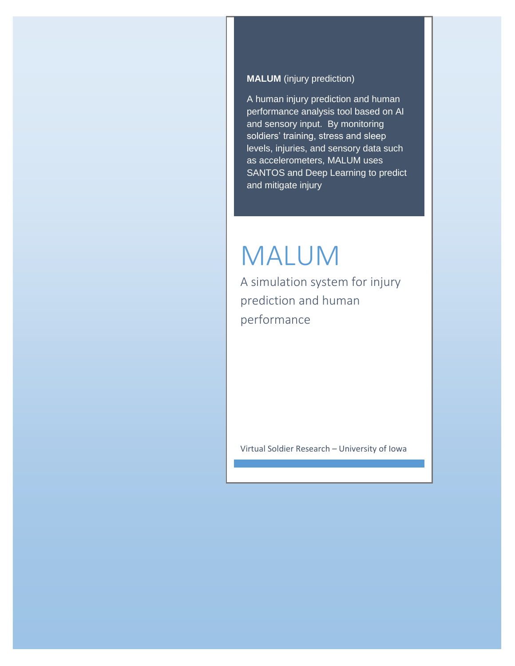### **MALUM** (injury prediction)

A human injury prediction and human performance analysis tool based on AI and sensory input. By monitoring soldiers' training, stress and sleep levels, injuries, and sensory data such as accelerometers, MALUM uses SANTOS and Deep Learning to predict and mitigate injury

# MALUM

A simulation system for injury prediction and human performance

Virtual Soldier Research – University of Iowa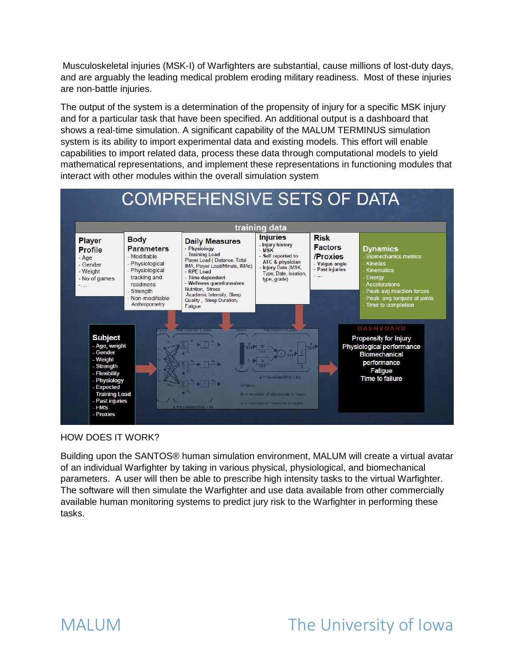Musculoskeletal injuries (MSK-I) of Warfighters are substantial, cause millions of lost-duty days, and are arguably the leading medical problem eroding military readiness. Most of these injuries are non-battle injuries.

The output of the system is a determination of the propensity of injury for a specific MSK injury and for a particular task that have been specified. An additional output is a dashboard that shows a real-time simulation. A significant capability of the MALUM TERMINUS simulation system is its ability to import experimental data and existing models. This effort will enable capabilities to import related data, process these data through computational models to yield mathematical representations, and implement these representations in functioning modules that interact with other modules within the overall simulation system



#### HOW DOES IT WORK?

Building upon the SANTOS® human simulation environment, MALUM will create a virtual avatar of an individual Warfighter by taking in various physical, physiological, and biomechanical parameters. A user will then be able to prescribe high intensity tasks to the virtual Warfighter. The software will then simulate the Warfighter and use data available from other commercially available human monitoring systems to predict jury risk to the Warfighter in performing these tasks.

# MALUM The University of Iowa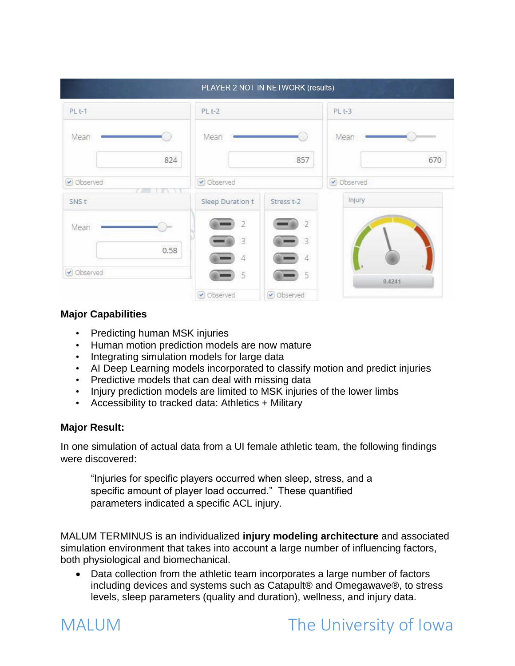|             | PLAYER 2 NOT IN NETWORK (results) |                     |                   |
|-------------|-----------------------------------|---------------------|-------------------|
| $PLt-1$     | PL <sub>t-2</sub>                 |                     | PL <sub>t-3</sub> |
| Mean        | Mean                              |                     | Mean              |
| 824         |                                   | 857                 | 670               |
| Observed    | Observed                          |                     | Observed          |
| <b>SNSt</b> | Sleep Duration t                  | Stress t-2          | Injury            |
| Mean        | $\overline{2}$                    | $\overline{2}$      |                   |
| 0.58        | $\overline{3}$                    | $\overline{3}$      |                   |
| Observed    | $\overline{4}$<br>5               | $\overline{4}$<br>5 |                   |
|             | Observed                          | Observed            | 0.4241            |

## **Major Capabilities**

- Predicting human MSK injuries
- Human motion prediction models are now mature
- Integrating simulation models for large data
- AI Deep Learning models incorporated to classify motion and predict injuries
- Predictive models that can deal with missing data
- Injury prediction models are limited to MSK injuries of the lower limbs
- Accessibility to tracked data: Athletics + Military

### **Major Result:**

In one simulation of actual data from a UI female athletic team, the following findings were discovered:

"Injuries for specific players occurred when sleep, stress, and a specific amount of player load occurred." These quantified parameters indicated a specific ACL injury.

MALUM TERMINUS is an individualized **injury modeling architecture** and associated simulation environment that takes into account a large number of influencing factors, both physiological and biomechanical.

 Data collection from the athletic team incorporates a large number of factors including devices and systems such as Catapult® and Omegawave®, to stress levels, sleep parameters (quality and duration), wellness, and injury data.

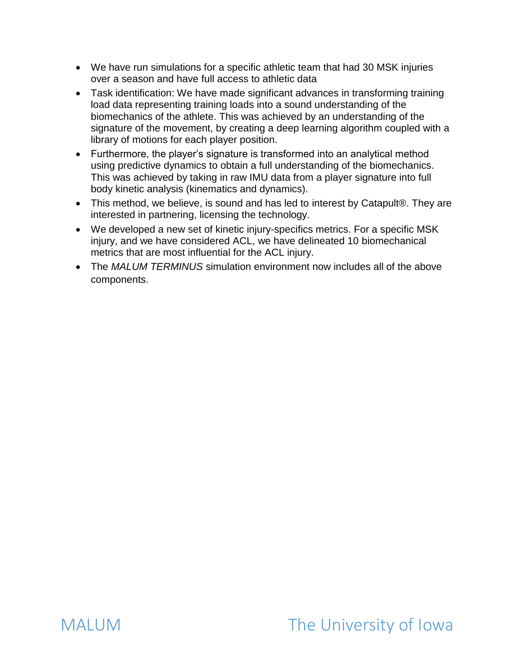- We have run simulations for a specific athletic team that had 30 MSK injuries over a season and have full access to athletic data
- Task identification: We have made significant advances in transforming training load data representing training loads into a sound understanding of the biomechanics of the athlete. This was achieved by an understanding of the signature of the movement, by creating a deep learning algorithm coupled with a library of motions for each player position.
- Furthermore, the player's signature is transformed into an analytical method using predictive dynamics to obtain a full understanding of the biomechanics. This was achieved by taking in raw IMU data from a player signature into full body kinetic analysis (kinematics and dynamics).
- This method, we believe, is sound and has led to interest by Catapult®. They are interested in partnering, licensing the technology.
- We developed a new set of kinetic injury-specifics metrics. For a specific MSK injury, and we have considered ACL, we have delineated 10 biomechanical metrics that are most influential for the ACL injury.
- The *MALUM TERMINUS* simulation environment now includes all of the above components.